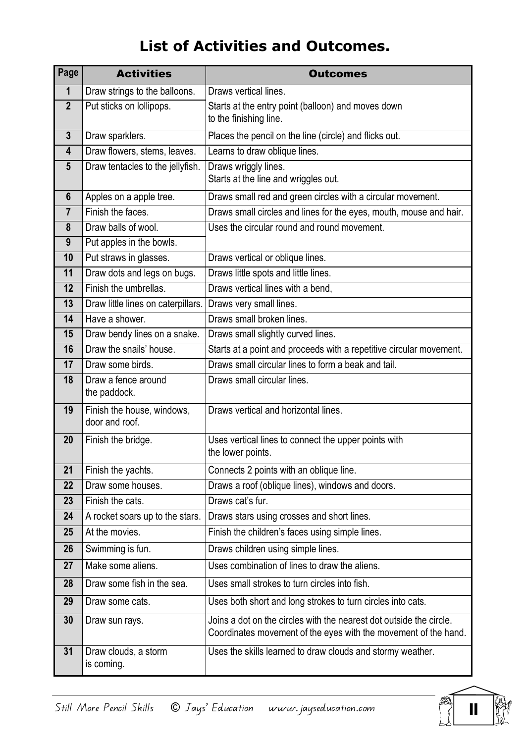## List of Activities and Outcomes.

| Page                    | <b>Activities</b>                            | <b>Outcomes</b>                                                                                                                        |
|-------------------------|----------------------------------------------|----------------------------------------------------------------------------------------------------------------------------------------|
| $\mathbf 1$             | Draw strings to the balloons.                | Draws vertical lines.                                                                                                                  |
| $\overline{2}$          | Put sticks on lollipops.                     | Starts at the entry point (balloon) and moves down<br>to the finishing line.                                                           |
| $\mathbf{3}$            | Draw sparklers.                              | Places the pencil on the line (circle) and flicks out.                                                                                 |
| $\overline{\mathbf{4}}$ | Draw flowers, stems, leaves.                 | Learns to draw oblique lines.                                                                                                          |
| $5\phantom{1}$          | Draw tentacles to the jellyfish.             | Draws wriggly lines.<br>Starts at the line and wriggles out.                                                                           |
| $6\phantom{1}$          | Apples on a apple tree.                      | Draws small red and green circles with a circular movement.                                                                            |
| $\overline{7}$          | Finish the faces.                            | Draws small circles and lines for the eyes, mouth, mouse and hair.                                                                     |
| 8                       | Draw balls of wool.                          | Uses the circular round and round movement.                                                                                            |
| 9                       | Put apples in the bowls.                     |                                                                                                                                        |
| 10                      | Put straws in glasses.                       | Draws vertical or oblique lines.                                                                                                       |
| 11                      | Draw dots and legs on bugs.                  | Draws little spots and little lines.                                                                                                   |
| 12                      | Finish the umbrellas.                        | Draws vertical lines with a bend,                                                                                                      |
| 13                      | Draw little lines on caterpillars.           | Draws very small lines.                                                                                                                |
| 14                      | Have a shower.                               | Draws small broken lines.                                                                                                              |
| 15                      | Draw bendy lines on a snake.                 | Draws small slightly curved lines.                                                                                                     |
| 16                      | Draw the snails' house.                      | Starts at a point and proceeds with a repetitive circular movement.                                                                    |
| 17                      | Draw some birds.                             | Draws small circular lines to form a beak and tail.                                                                                    |
| 18                      | Draw a fence around<br>the paddock.          | Draws small circular lines.                                                                                                            |
| 19                      | Finish the house, windows,<br>door and roof. | Draws vertical and horizontal lines.                                                                                                   |
| 20                      | Finish the bridge.                           | Uses vertical lines to connect the upper points with<br>the lower points.                                                              |
| 21                      | Finish the yachts.                           | Connects 2 points with an oblique line.                                                                                                |
| 22                      | Draw some houses.                            | Draws a roof (oblique lines), windows and doors.                                                                                       |
| 23                      | Finish the cats.                             | Draws cat's fur.                                                                                                                       |
| 24                      | A rocket soars up to the stars.              | Draws stars using crosses and short lines.                                                                                             |
| 25                      | At the movies.                               | Finish the children's faces using simple lines.                                                                                        |
| 26                      | Swimming is fun.                             | Draws children using simple lines.                                                                                                     |
| 27                      | Make some aliens.                            | Uses combination of lines to draw the aliens.                                                                                          |
| 28                      | Draw some fish in the sea.                   | Uses small strokes to turn circles into fish.                                                                                          |
| 29                      | Draw some cats.                              | Uses both short and long strokes to turn circles into cats.                                                                            |
| 30                      | Draw sun rays.                               | Joins a dot on the circles with the nearest dot outside the circle.<br>Coordinates movement of the eyes with the movement of the hand. |
| 31                      | Draw clouds, a storm<br>is coming.           | Uses the skills learned to draw clouds and stormy weather.                                                                             |

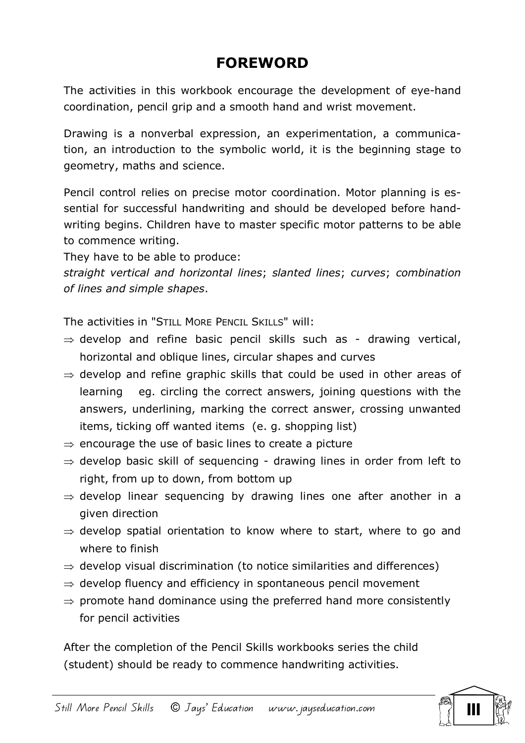## FOREWORD

The activities in this workbook encourage the development of eye-hand coordination, pencil grip and a smooth hand and wrist movement.

Drawing is a nonverbal expression, an experimentation, a communication, an introduction to the symbolic world, it is the beginning stage to geometry, maths and science.

Pencil control relies on precise motor coordination. Motor planning is essential for successful handwriting and should be developed before handwriting begins. Children have to master specific motor patterns to be able to commence writing.

They have to be able to produce:

straight vertical and horizontal lines; slanted lines; curves; combination of lines and simple shapes.

The activities in "STILL MORE PENCIL SKILLS" will:

- $\Rightarrow$  develop and refine basic pencil skills such as drawing vertical, horizontal and oblique lines, circular shapes and curves
- $\Rightarrow$  develop and refine graphic skills that could be used in other areas of learning eg. circling the correct answers, joining questions with the answers, underlining, marking the correct answer, crossing unwanted items, ticking off wanted items (e. g. shopping list)
- $\Rightarrow$  encourage the use of basic lines to create a picture
- $\Rightarrow$  develop basic skill of sequencing drawing lines in order from left to right, from up to down, from bottom up
- $\Rightarrow$  develop linear sequencing by drawing lines one after another in a given direction
- $\Rightarrow$  develop spatial orientation to know where to start, where to go and where to finish
- $\Rightarrow$  develop visual discrimination (to notice similarities and differences)
- $\Rightarrow$  develop fluency and efficiency in spontaneous pencil movement
- $\Rightarrow$  promote hand dominance using the preferred hand more consistently for pencil activities

After the completion of the Pencil Skills workbooks series the child (student) should be ready to commence handwriting activities.

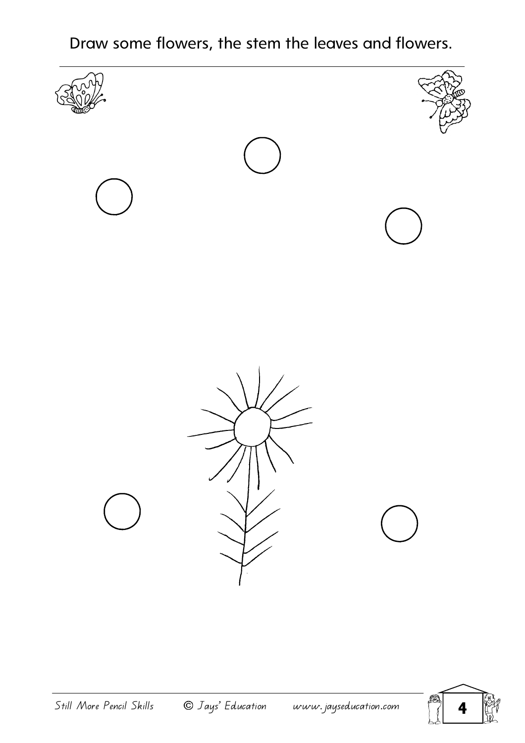Draw some flowers, the stem the leaves and flowers.



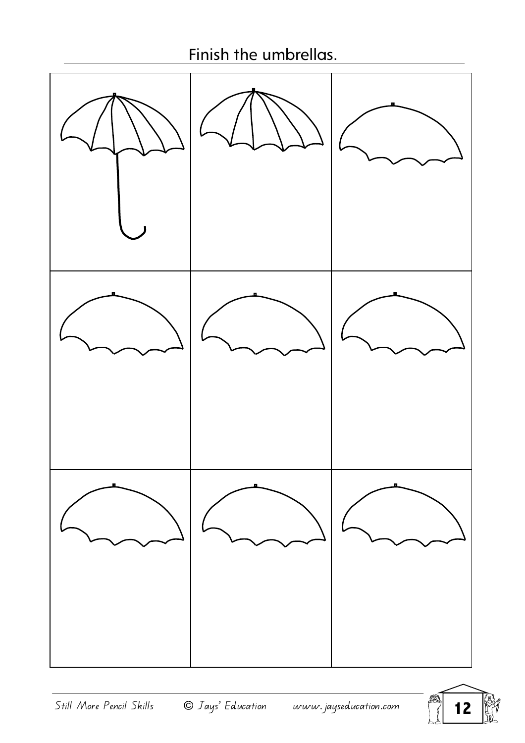## Finish the umbrellas.



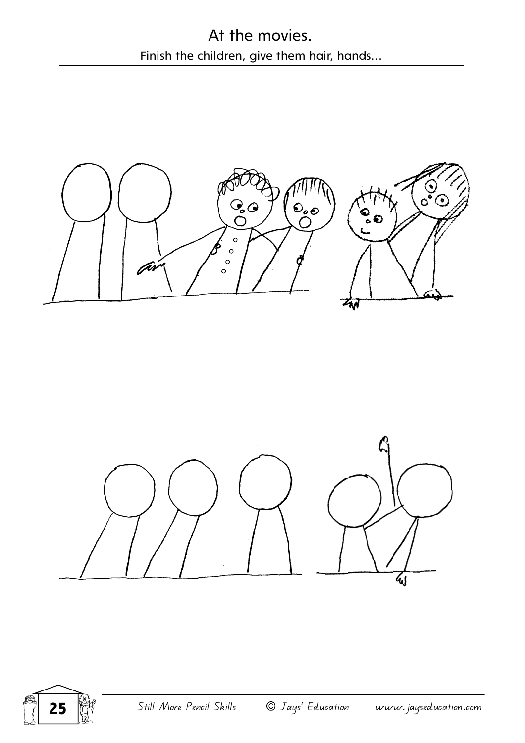